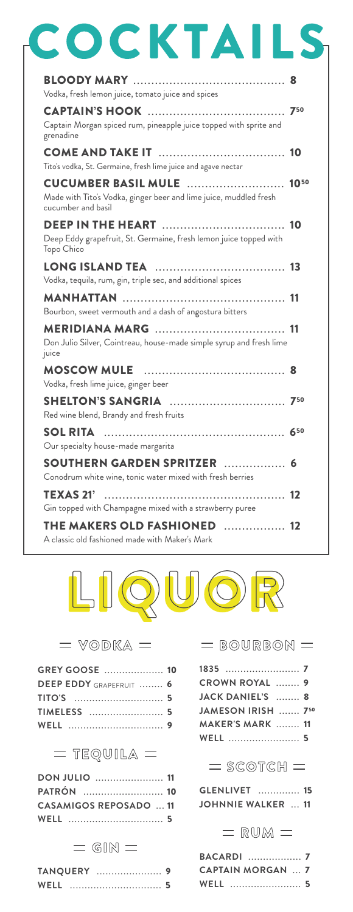| CKTA                                                                                                                  |     |
|-----------------------------------------------------------------------------------------------------------------------|-----|
| Vodka, fresh lemon juice, tomato juice and spices                                                                     |     |
| Captain Morgan spiced rum, pineapple juice topped with sprite and<br>grenadine                                        | 750 |
| Tito's vodka, St. Germaine, fresh lime juice and agave nectar                                                         |     |
| <b>CUCUMBER BASIL MULE</b><br>Made with Tito's Vodka, ginger beer and lime juice, muddled fresh<br>cucumber and basil |     |
| Deep Eddy grapefruit, St. Germaine, fresh lemon juice topped with<br>Topo Chico                                       |     |
| Vodka, tequila, rum, gin, triple sec, and additional spices                                                           |     |
| Bourbon, sweet vermouth and a dash of angostura bitters                                                               | -11 |
| Don Julio Silver, Cointreau, house-made simple syrup and fresh lime<br>juice                                          |     |
| <b>MOSCOW MULE</b><br>Vodka, fresh lime juice, ginger beer                                                            |     |
| Red wine blend, Brandy and fresh fruits                                                                               | 750 |
| <b>SOL RITA</b><br>Our specialty house-made margarita                                                                 | 650 |
| SOUTHERN GARDEN SPRITZER<br>Conodrum white wine, tonic water mixed with fresh berries                                 | 6   |
| <b>TEXAS 21'</b><br>Gin topped with Champagne mixed with a strawberry puree                                           |     |
| THE MAKERS OLD FASHIONED<br>. 12<br>A classic old fashioned made with Maker's Mark                                    |     |



|  | VODKA |  |
|--|-------|--|
|--|-------|--|

| <b>GREY GOOSE</b> 10           |  |
|--------------------------------|--|
| <b>DEEP EDDY GRAPEFRUIT  6</b> |  |
|                                |  |
|                                |  |
|                                |  |

# $=$  TEQUILA  $=$

| PATRÓN  10                    |  |
|-------------------------------|--|
| <b>CASAMIGOS REPOSADO  11</b> |  |
|                               |  |

#### $=$  GIN  $=$

|      | <b>TANQUERY</b> |   |
|------|-----------------|---|
| WELL |                 | 5 |

| $=$ BOURBON $=$          |  |
|--------------------------|--|
|                          |  |
| <b>CROWN ROYAL  9</b>    |  |
| JACK DANIEL'S  8         |  |
| JAMESON IRISH  750       |  |
| MAKER'S MARK  11         |  |
| <b>WELL</b> 5            |  |
| $=$ SCOTCH $=$           |  |
| <b>GLENLIVET</b> 15      |  |
| <b>JOHNNIE WALKER</b> 11 |  |
| $=$ RUM $=$              |  |

| <b>CAPTAIN MORGAN  7</b> |  |
|--------------------------|--|
| <b>WELL</b> 5            |  |